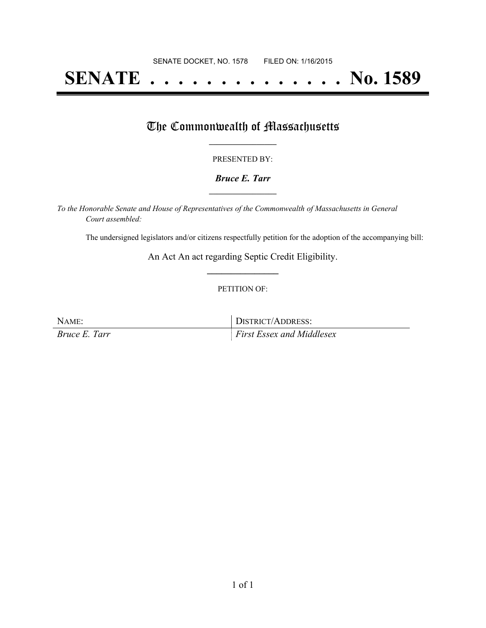# **SENATE . . . . . . . . . . . . . . No. 1589**

## The Commonwealth of Massachusetts

#### PRESENTED BY:

#### *Bruce E. Tarr* **\_\_\_\_\_\_\_\_\_\_\_\_\_\_\_\_\_**

*To the Honorable Senate and House of Representatives of the Commonwealth of Massachusetts in General Court assembled:*

The undersigned legislators and/or citizens respectfully petition for the adoption of the accompanying bill:

An Act An act regarding Septic Credit Eligibility. **\_\_\_\_\_\_\_\_\_\_\_\_\_\_\_**

#### PETITION OF:

NAME: DISTRICT/ADDRESS: *Bruce E. Tarr First Essex and Middlesex*